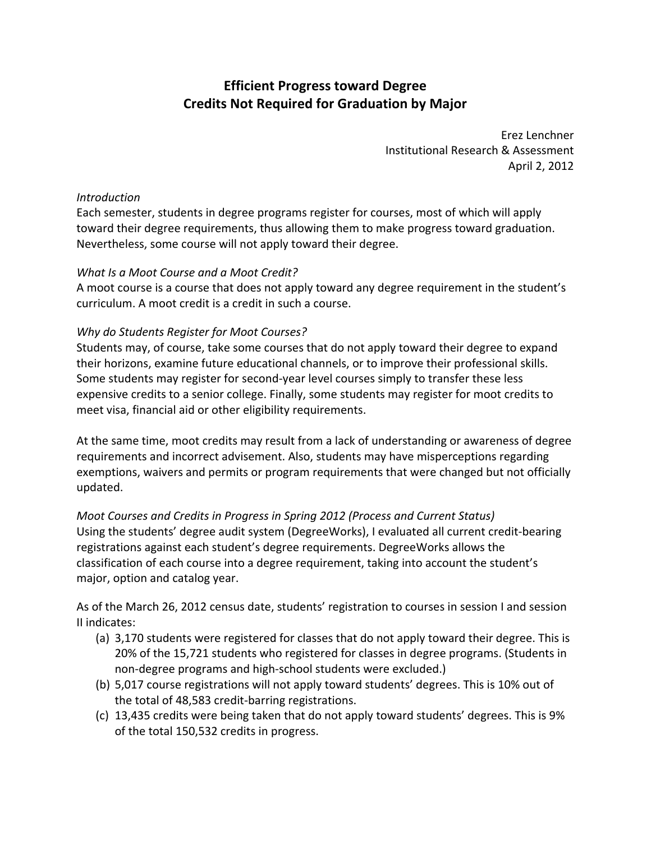# **Efficient Progress toward Degree Credits Not Required for Graduation by Major**

 Erez Lenchner Institutional Research & Assessment April 2, 2012

#### *Introduction*

 Each semester, students in degree programs register for courses, most of which will apply toward their degree requirements, thus allowing them to make progress toward graduation. Nevertheless, some course will not apply toward their degree.

# *What Is a Moot Course and a Moot Credit?*

 A moot course is a course that does not apply toward any degree requirement in the student's curriculum. A moot credit is a credit in such a course.

## *Why do Students Register for Moot Courses?*

 Students may, of course, take some courses that do not apply toward their degree to expand their horizons, examine future educational channels, or to improve their professional skills. Some students may register for second‐year level courses simply to transfer these less expensive credits to a senior college. Finally, some students may register for moot credits to meet visa, financial aid or other eligibility requirements.

 At the same time, moot credits may result from a lack of understanding or awareness of degree requirements and incorrect advisement. Also, students may have misperceptions regarding exemptions, waivers and permits or program requirements that were changed but not officially updated.

 *Moot Courses and Credits in Progress in Spring 2012 (Process and Current Status)* Using the students' degree audit system (DegreeWorks), I evaluated all current credit‐bearing registrations against each student's degree requirements. DegreeWorks allows the classification of each course into a degree requirement, taking into account the student's major, option and catalog year.

 As of the March 26, 2012 census date, students' registration to courses in session I and session II indicates:

- (a) 3,170 students were registered for classes that do not apply toward their degree. This is 20% of the 15,721 students who registered for classes in degree programs. (Students in non‐degree programs and high‐school students were excluded.)
- (b) 5,017 course registrations will not apply toward students' degrees. This is 10% out of the total of 48,583 credit‐barring registrations.
- (c) 13,435 credits were being taken that do not apply toward students' degrees. This is 9% of the total 150,532 credits in progress.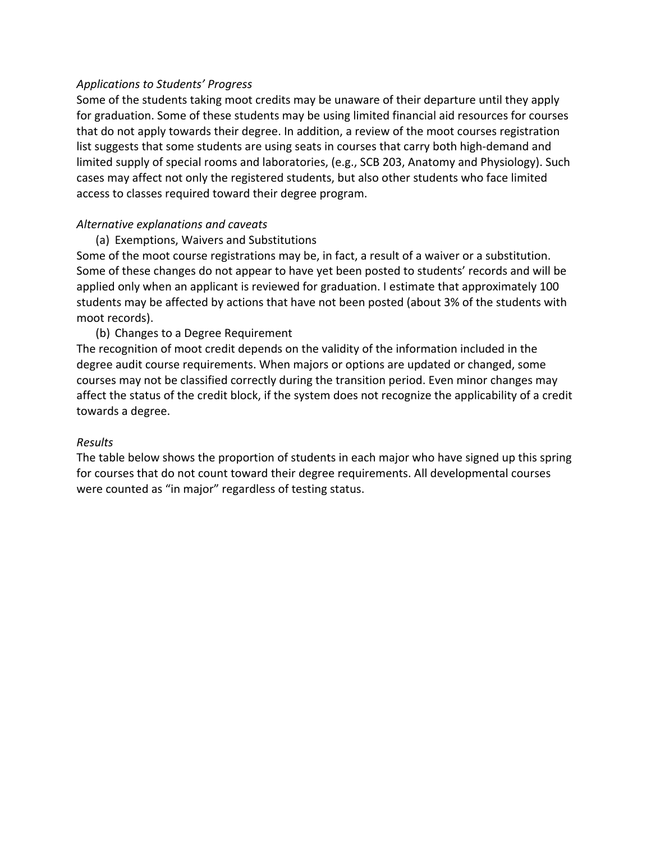#### *Applications to Students' Progress*

 Some of the students taking moot credits may be unaware of their departure until they apply for graduation. Some of these students may be using limited financial aid resources for courses that do not apply towards their degree. In addition, a review of the moot courses registration list suggests that some students are using seats in courses that carry both high‐demand and limited supply of special rooms and laboratories, (e.g., SCB 203, Anatomy and Physiology). Such cases may affect not only the registered students, but also other students who face limited access to classes required toward their degree program.

# *Alternative explanations and caveats*

(a) Exemptions, Waivers and Substitutions

 Some of the moot course registrations may be, in fact, a result of a waiver or a substitution. Some of these changes do not appear to have yet been posted to students' records and will be applied only when an applicant is reviewed for graduation. I estimate that approximately 100 students may be affected by actions that have not been posted (about 3% of the students with moot records).

## (b) Changes to a Degree Requirement

 The recognition of moot credit depends on the validity of the information included in the degree audit course requirements. When majors or options are updated or changed, some courses may not be classified correctly during the transition period. Even minor changes may affect the status of the credit block, if the system does not recognize the applicability of a credit towards a degree.

#### *Results*

 The table below shows the proportion of students in each major who have signed up this spring for courses that do not count toward their degree requirements. All developmental courses were counted as "in major" regardless of testing status.